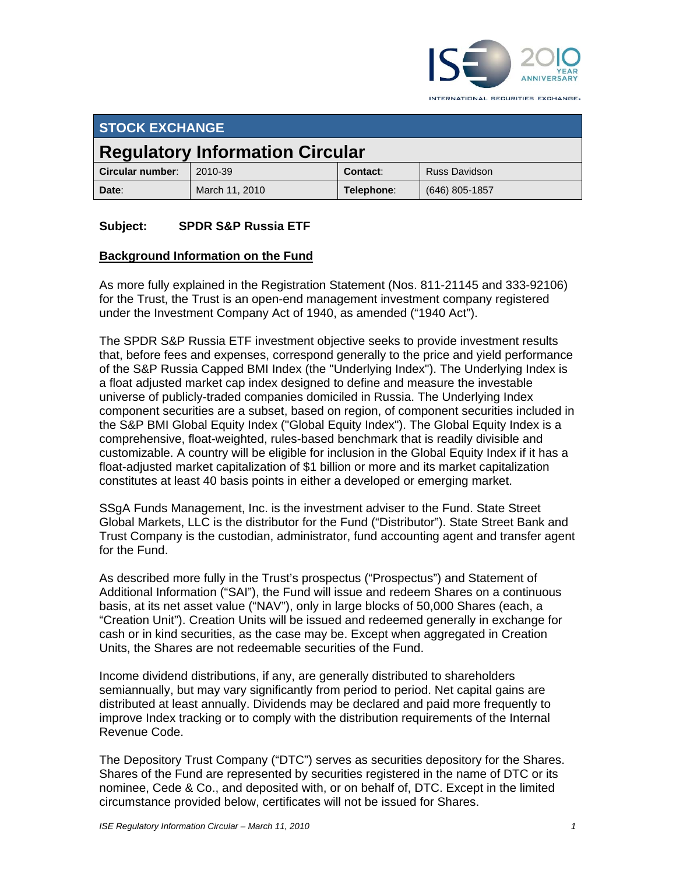

INTERNATIONAL SECURITIES EXCHANGE.

| <b>STOCK EXCHANGE</b>                  |                |            |                      |  |
|----------------------------------------|----------------|------------|----------------------|--|
| <b>Regulatory Information Circular</b> |                |            |                      |  |
| Circular number:                       | 2010-39        | Contact:   | <b>Russ Davidson</b> |  |
| Date:                                  | March 11, 2010 | Telephone: | (646) 805-1857       |  |

## **Subject: SPDR S&P Russia ETF**

### **Background Information on the Fund**

As more fully explained in the Registration Statement (Nos. 811-21145 and 333-92106) for the Trust, the Trust is an open-end management investment company registered under the Investment Company Act of 1940, as amended ("1940 Act").

The SPDR S&P Russia ETF investment objective seeks to provide investment results that, before fees and expenses, correspond generally to the price and yield performance of the S&P Russia Capped BMI Index (the "Underlying Index"). The Underlying Index is a float adjusted market cap index designed to define and measure the investable universe of publicly-traded companies domiciled in Russia. The Underlying Index component securities are a subset, based on region, of component securities included in the S&P BMI Global Equity Index ("Global Equity Index"). The Global Equity Index is a comprehensive, float-weighted, rules-based benchmark that is readily divisible and customizable. A country will be eligible for inclusion in the Global Equity Index if it has a float-adjusted market capitalization of \$1 billion or more and its market capitalization constitutes at least 40 basis points in either a developed or emerging market.

SSgA Funds Management, Inc. is the investment adviser to the Fund. State Street Global Markets, LLC is the distributor for the Fund ("Distributor"). State Street Bank and Trust Company is the custodian, administrator, fund accounting agent and transfer agent for the Fund.

As described more fully in the Trust's prospectus ("Prospectus") and Statement of Additional Information ("SAI"), the Fund will issue and redeem Shares on a continuous basis, at its net asset value ("NAV"), only in large blocks of 50,000 Shares (each, a "Creation Unit"). Creation Units will be issued and redeemed generally in exchange for cash or in kind securities, as the case may be. Except when aggregated in Creation Units, the Shares are not redeemable securities of the Fund.

Income dividend distributions, if any, are generally distributed to shareholders semiannually, but may vary significantly from period to period. Net capital gains are distributed at least annually. Dividends may be declared and paid more frequently to improve Index tracking or to comply with the distribution requirements of the Internal Revenue Code.

The Depository Trust Company ("DTC") serves as securities depository for the Shares. Shares of the Fund are represented by securities registered in the name of DTC or its nominee, Cede & Co., and deposited with, or on behalf of, DTC. Except in the limited circumstance provided below, certificates will not be issued for Shares.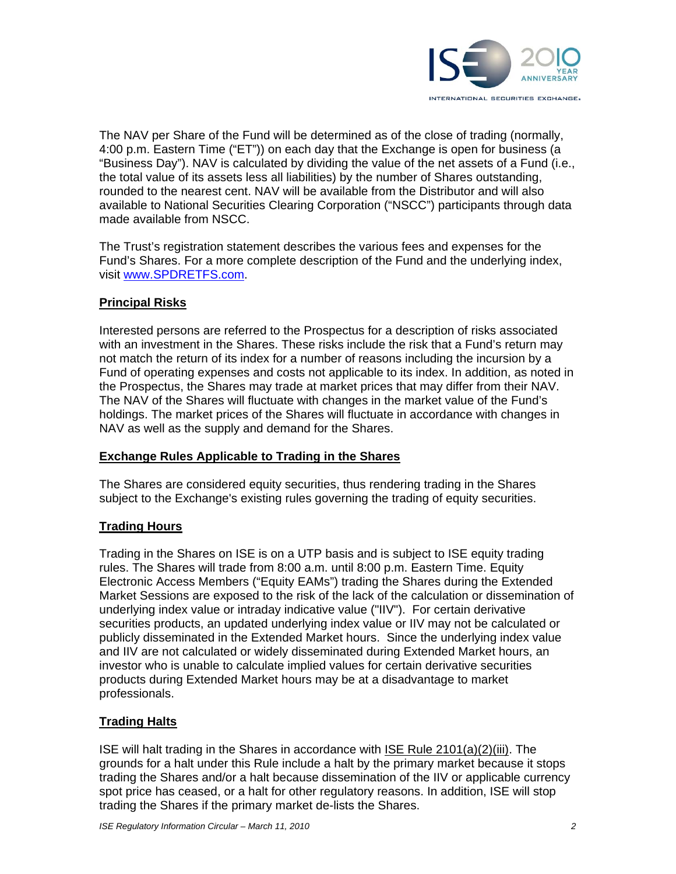

The NAV per Share of the Fund will be determined as of the close of trading (normally, 4:00 p.m. Eastern Time ("ET")) on each day that the Exchange is open for business (a "Business Day"). NAV is calculated by dividing the value of the net assets of a Fund (i.e., the total value of its assets less all liabilities) by the number of Shares outstanding, rounded to the nearest cent. NAV will be available from the Distributor and will also available to National Securities Clearing Corporation ("NSCC") participants through data made available from NSCC.

The Trust's registration statement describes the various fees and expenses for the Fund's Shares. For a more complete description of the Fund and the underlying index, visit www.SPDRETFS.com.

### **Principal Risks**

Interested persons are referred to the Prospectus for a description of risks associated with an investment in the Shares. These risks include the risk that a Fund's return may not match the return of its index for a number of reasons including the incursion by a Fund of operating expenses and costs not applicable to its index. In addition, as noted in the Prospectus, the Shares may trade at market prices that may differ from their NAV. The NAV of the Shares will fluctuate with changes in the market value of the Fund's holdings. The market prices of the Shares will fluctuate in accordance with changes in NAV as well as the supply and demand for the Shares.

### **Exchange Rules Applicable to Trading in the Shares**

The Shares are considered equity securities, thus rendering trading in the Shares subject to the Exchange's existing rules governing the trading of equity securities.

### **Trading Hours**

Trading in the Shares on ISE is on a UTP basis and is subject to ISE equity trading rules. The Shares will trade from 8:00 a.m. until 8:00 p.m. Eastern Time. Equity Electronic Access Members ("Equity EAMs") trading the Shares during the Extended Market Sessions are exposed to the risk of the lack of the calculation or dissemination of underlying index value or intraday indicative value ("IIV"). For certain derivative securities products, an updated underlying index value or IIV may not be calculated or publicly disseminated in the Extended Market hours. Since the underlying index value and IIV are not calculated or widely disseminated during Extended Market hours, an investor who is unable to calculate implied values for certain derivative securities products during Extended Market hours may be at a disadvantage to market professionals.

### **Trading Halts**

ISE will halt trading in the Shares in accordance with ISE Rule 2101(a)(2)(iii). The grounds for a halt under this Rule include a halt by the primary market because it stops trading the Shares and/or a halt because dissemination of the IIV or applicable currency spot price has ceased, or a halt for other regulatory reasons. In addition, ISE will stop trading the Shares if the primary market de-lists the Shares.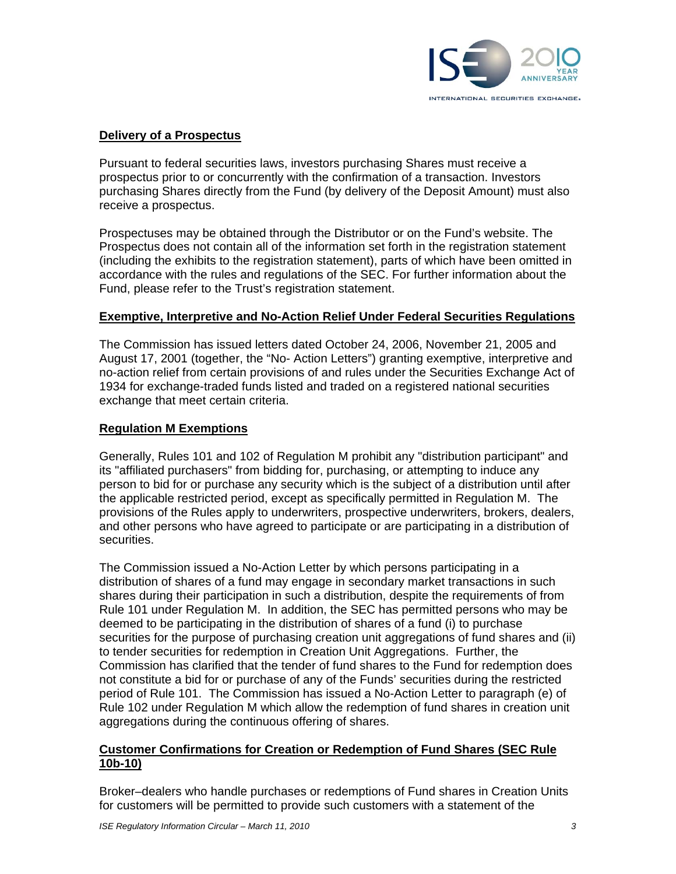

### **Delivery of a Prospectus**

Pursuant to federal securities laws, investors purchasing Shares must receive a prospectus prior to or concurrently with the confirmation of a transaction. Investors purchasing Shares directly from the Fund (by delivery of the Deposit Amount) must also receive a prospectus.

Prospectuses may be obtained through the Distributor or on the Fund's website. The Prospectus does not contain all of the information set forth in the registration statement (including the exhibits to the registration statement), parts of which have been omitted in accordance with the rules and regulations of the SEC. For further information about the Fund, please refer to the Trust's registration statement.

#### **Exemptive, Interpretive and No-Action Relief Under Federal Securities Regulations**

The Commission has issued letters dated October 24, 2006, November 21, 2005 and August 17, 2001 (together, the "No- Action Letters") granting exemptive, interpretive and no-action relief from certain provisions of and rules under the Securities Exchange Act of 1934 for exchange-traded funds listed and traded on a registered national securities exchange that meet certain criteria.

#### **Regulation M Exemptions**

Generally, Rules 101 and 102 of Regulation M prohibit any "distribution participant" and its "affiliated purchasers" from bidding for, purchasing, or attempting to induce any person to bid for or purchase any security which is the subject of a distribution until after the applicable restricted period, except as specifically permitted in Regulation M. The provisions of the Rules apply to underwriters, prospective underwriters, brokers, dealers, and other persons who have agreed to participate or are participating in a distribution of securities.

The Commission issued a No-Action Letter by which persons participating in a distribution of shares of a fund may engage in secondary market transactions in such shares during their participation in such a distribution, despite the requirements of from Rule 101 under Regulation M. In addition, the SEC has permitted persons who may be deemed to be participating in the distribution of shares of a fund (i) to purchase securities for the purpose of purchasing creation unit aggregations of fund shares and (ii) to tender securities for redemption in Creation Unit Aggregations. Further, the Commission has clarified that the tender of fund shares to the Fund for redemption does not constitute a bid for or purchase of any of the Funds' securities during the restricted period of Rule 101. The Commission has issued a No-Action Letter to paragraph (e) of Rule 102 under Regulation M which allow the redemption of fund shares in creation unit aggregations during the continuous offering of shares.

### **Customer Confirmations for Creation or Redemption of Fund Shares (SEC Rule 10b-10)**

Broker–dealers who handle purchases or redemptions of Fund shares in Creation Units for customers will be permitted to provide such customers with a statement of the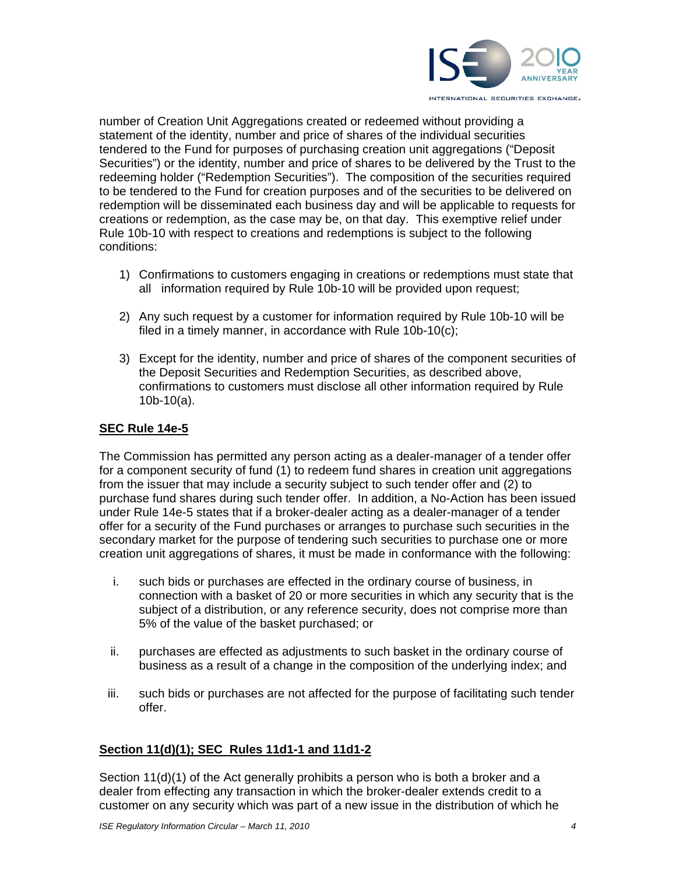

number of Creation Unit Aggregations created or redeemed without providing a statement of the identity, number and price of shares of the individual securities tendered to the Fund for purposes of purchasing creation unit aggregations ("Deposit Securities") or the identity, number and price of shares to be delivered by the Trust to the redeeming holder ("Redemption Securities"). The composition of the securities required to be tendered to the Fund for creation purposes and of the securities to be delivered on redemption will be disseminated each business day and will be applicable to requests for creations or redemption, as the case may be, on that day. This exemptive relief under Rule 10b-10 with respect to creations and redemptions is subject to the following conditions:

- 1) Confirmations to customers engaging in creations or redemptions must state that all information required by Rule 10b-10 will be provided upon request;
- 2) Any such request by a customer for information required by Rule 10b-10 will be filed in a timely manner, in accordance with Rule 10b-10(c);
- 3) Except for the identity, number and price of shares of the component securities of the Deposit Securities and Redemption Securities, as described above, confirmations to customers must disclose all other information required by Rule 10b-10(a).

### **SEC Rule 14e-5**

The Commission has permitted any person acting as a dealer-manager of a tender offer for a component security of fund (1) to redeem fund shares in creation unit aggregations from the issuer that may include a security subject to such tender offer and (2) to purchase fund shares during such tender offer. In addition, a No-Action has been issued under Rule 14e-5 states that if a broker-dealer acting as a dealer-manager of a tender offer for a security of the Fund purchases or arranges to purchase such securities in the secondary market for the purpose of tendering such securities to purchase one or more creation unit aggregations of shares, it must be made in conformance with the following:

- i. such bids or purchases are effected in the ordinary course of business, in connection with a basket of 20 or more securities in which any security that is the subject of a distribution, or any reference security, does not comprise more than 5% of the value of the basket purchased; or
- ii. purchases are effected as adjustments to such basket in the ordinary course of business as a result of a change in the composition of the underlying index; and
- iii. such bids or purchases are not affected for the purpose of facilitating such tender offer.

### **Section 11(d)(1); SEC Rules 11d1-1 and 11d1-2**

Section 11(d)(1) of the Act generally prohibits a person who is both a broker and a dealer from effecting any transaction in which the broker-dealer extends credit to a customer on any security which was part of a new issue in the distribution of which he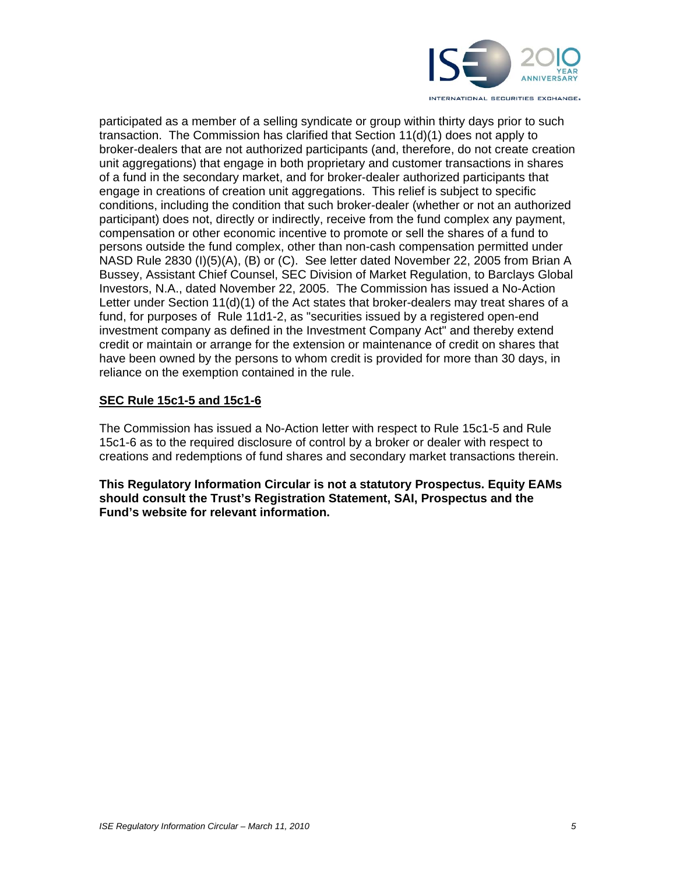

participated as a member of a selling syndicate or group within thirty days prior to such transaction. The Commission has clarified that Section 11(d)(1) does not apply to broker-dealers that are not authorized participants (and, therefore, do not create creation unit aggregations) that engage in both proprietary and customer transactions in shares of a fund in the secondary market, and for broker-dealer authorized participants that engage in creations of creation unit aggregations. This relief is subject to specific conditions, including the condition that such broker-dealer (whether or not an authorized participant) does not, directly or indirectly, receive from the fund complex any payment, compensation or other economic incentive to promote or sell the shares of a fund to persons outside the fund complex, other than non-cash compensation permitted under NASD Rule 2830 (I)(5)(A), (B) or (C). See letter dated November 22, 2005 from Brian A Bussey, Assistant Chief Counsel, SEC Division of Market Regulation, to Barclays Global Investors, N.A., dated November 22, 2005. The Commission has issued a No-Action Letter under Section 11(d)(1) of the Act states that broker-dealers may treat shares of a fund, for purposes of Rule 11d1-2, as "securities issued by a registered open-end investment company as defined in the Investment Company Act" and thereby extend credit or maintain or arrange for the extension or maintenance of credit on shares that have been owned by the persons to whom credit is provided for more than 30 days, in reliance on the exemption contained in the rule.

### **SEC Rule 15c1-5 and 15c1-6**

The Commission has issued a No-Action letter with respect to Rule 15c1-5 and Rule 15c1-6 as to the required disclosure of control by a broker or dealer with respect to creations and redemptions of fund shares and secondary market transactions therein.

**This Regulatory Information Circular is not a statutory Prospectus. Equity EAMs should consult the Trust's Registration Statement, SAI, Prospectus and the Fund's website for relevant information.**